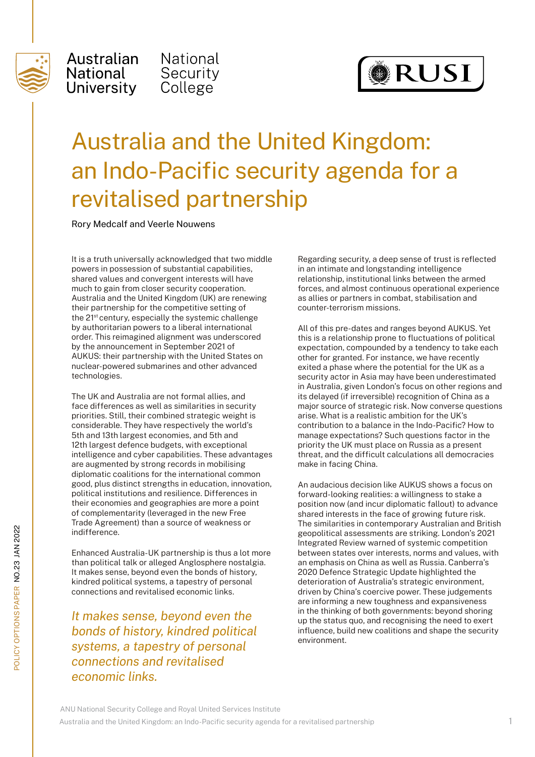

Australian National University

National Security College



## Australia and the United Kingdom: an Indo-Pacific security agenda for a revitalised partnership

Rory Medcalf and Veerle Nouwens

It is a truth universally acknowledged that two middle powers in possession of substantial capabilities, shared values and convergent interests will have much to gain from closer security cooperation. Australia and the United Kingdom (UK) are renewing their partnership for the competitive setting of the 21<sup>st</sup> century, especially the systemic challenge by authoritarian powers to a liberal international order. This reimagined alignment was underscored by the announcement in September 2021 of AUKUS: their partnership with the United States on nuclear-powered submarines and other advanced technologies.

The UK and Australia are not formal allies, and face differences as well as similarities in security priorities. Still, their combined strategic weight is considerable. They have respectively the world's 5th and 13th largest economies, and 5th and 12th largest defence budgets, with exceptional intelligence and cyber capabilities. These advantages are augmented by strong records in mobilising diplomatic coalitions for the international common good, plus distinct strengths in education, innovation, political institutions and resilience. Differences in their economies and geographies are more a point of complementarity (leveraged in the new Free Trade Agreement) than a source of weakness or indifference.

Enhanced Australia-UK partnership is thus a lot more than political talk or alleged Anglosphere nostalgia. It makes sense, beyond even the bonds of history, kindred political systems, a tapestry of personal connections and revitalised economic links.

*It makes sense, beyond even the bonds of history, kindred political systems, a tapestry of personal connections and revitalised economic links.* 

Regarding security, a deep sense of trust is reflected in an intimate and longstanding intelligence relationship, institutional links between the armed forces, and almost continuous operational experience as allies or partners in combat, stabilisation and counter-terrorism missions.

All of this pre-dates and ranges beyond AUKUS. Yet this is a relationship prone to fluctuations of political expectation, compounded by a tendency to take each other for granted. For instance, we have recently exited a phase where the potential for the UK as a security actor in Asia may have been underestimated in Australia, given London's focus on other regions and its delayed (if irreversible) recognition of China as a major source of strategic risk. Now converse questions arise. What is a realistic ambition for the UK's contribution to a balance in the Indo-Pacific? How to manage expectations? Such questions factor in the priority the UK must place on Russia as a present threat, and the difficult calculations all democracies make in facing China.

An audacious decision like AUKUS shows a focus on forward-looking realities: a willingness to stake a position now (and incur diplomatic fallout) to advance shared interests in the face of growing future risk. The similarities in contemporary Australian and British geopolitical assessments are striking. London's 2021 Integrated Review warned of systemic competition between states over interests, norms and values, with an emphasis on China as well as Russia. Canberra's 2020 Defence Strategic Update highlighted the deterioration of Australia's strategic environment, driven by China's coercive power. These judgements are informing a new toughness and expansiveness in the thinking of both governments: beyond shoring up the status quo, and recognising the need to exert influence, build new coalitions and shape the security environment.

ANU National Security College and Royal United Services Institute

Australia and the United Kingdom: an Indo-Pacific security agenda for a revitalised partnership 1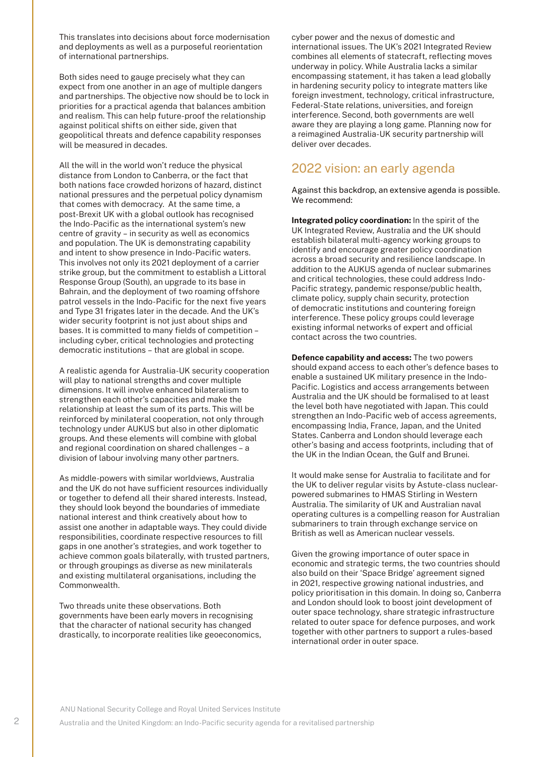This translates into decisions about force modernisation and deployments as well as a purposeful reorientation of international partnerships.

Both sides need to gauge precisely what they can expect from one another in an age of multiple dangers and partnerships. The objective now should be to lock in priorities for a practical agenda that balances ambition and realism. This can help future-proof the relationship against political shifts on either side, given that geopolitical threats and defence capability responses will be measured in decades.

All the will in the world won't reduce the physical distance from London to Canberra, or the fact that both nations face crowded horizons of hazard, distinct national pressures and the perpetual policy dynamism that comes with democracy. At the same time, a post-Brexit UK with a global outlook has recognised the Indo-Pacific as the international system's new centre of gravity – in security as well as economics and population. The UK is demonstrating capability and intent to show presence in Indo-Pacific waters. This involves not only its 2021 deployment of a carrier strike group, but the commitment to establish a Littoral Response Group (South), an upgrade to its base in Bahrain, and the deployment of two roaming offshore patrol vessels in the Indo-Pacific for the next five years and Type 31 frigates later in the decade. And the UK's wider security footprint is not just about ships and bases. It is committed to many fields of competition – including cyber, critical technologies and protecting democratic institutions – that are global in scope.

A realistic agenda for Australia-UK security cooperation will play to national strengths and cover multiple dimensions. It will involve enhanced bilateralism to strengthen each other's capacities and make the relationship at least the sum of its parts. This will be reinforced by minilateral cooperation, not only through technology under AUKUS but also in other diplomatic groups. And these elements will combine with global and regional coordination on shared challenges – a division of labour involving many other partners.

As middle-powers with similar worldviews, Australia and the UK do not have sufficient resources individually or together to defend all their shared interests. Instead, they should look beyond the boundaries of immediate national interest and think creatively about how to assist one another in adaptable ways. They could divide responsibilities, coordinate respective resources to fill gaps in one another's strategies, and work together to achieve common goals bilaterally, with trusted partners, or through groupings as diverse as new minilaterals and existing multilateral organisations, including the Commonwealth.

Two threads unite these observations. Both governments have been early movers in recognising that the character of national security has changed drastically, to incorporate realities like geoeconomics,

cyber power and the nexus of domestic and international issues. The UK's 2021 Integrated Review combines all elements of statecraft, reflecting moves underway in policy. While Australia lacks a similar encompassing statement, it has taken a lead globally in hardening security policy to integrate matters like foreign investment, technology, critical infrastructure, Federal-State relations, universities, and foreign interference. Second, both governments are well aware they are playing a long game. Planning now for a reimagined Australia-UK security partnership will deliver over decades.

## 2022 vision: an early agenda

Against this backdrop, an extensive agenda is possible. We recommend:

**Integrated policy coordination:** In the spirit of the UK Integrated Review, Australia and the UK should establish bilateral multi-agency working groups to identify and encourage greater policy coordination across a broad security and resilience landscape. In addition to the AUKUS agenda of nuclear submarines and critical technologies, these could address Indo-Pacific strategy, pandemic response/public health, climate policy, supply chain security, protection of democratic institutions and countering foreign interference. These policy groups could leverage existing informal networks of expert and official contact across the two countries.

**Defence capability and access:** The two powers should expand access to each other's defence bases to enable a sustained UK military presence in the Indo-Pacific. Logistics and access arrangements between Australia and the UK should be formalised to at least the level both have negotiated with Japan. This could strengthen an Indo-Pacific web of access agreements, encompassing India, France, Japan, and the United States. Canberra and London should leverage each other's basing and access footprints, including that of the UK in the Indian Ocean, the Gulf and Brunei.

It would make sense for Australia to facilitate and for the UK to deliver regular visits by Astute-class nuclearpowered submarines to HMAS Stirling in Western Australia. The similarity of UK and Australian naval operating cultures is a compelling reason for Australian submariners to train through exchange service on British as well as American nuclear vessels.

Given the growing importance of outer space in economic and strategic terms, the two countries should also build on their 'Space Bridge' agreement signed in 2021, respective growing national industries, and policy prioritisation in this domain. In doing so, Canberra and London should look to boost joint development of outer space technology, share strategic infrastructure related to outer space for defence purposes, and work together with other partners to support a rules-based international order in outer space.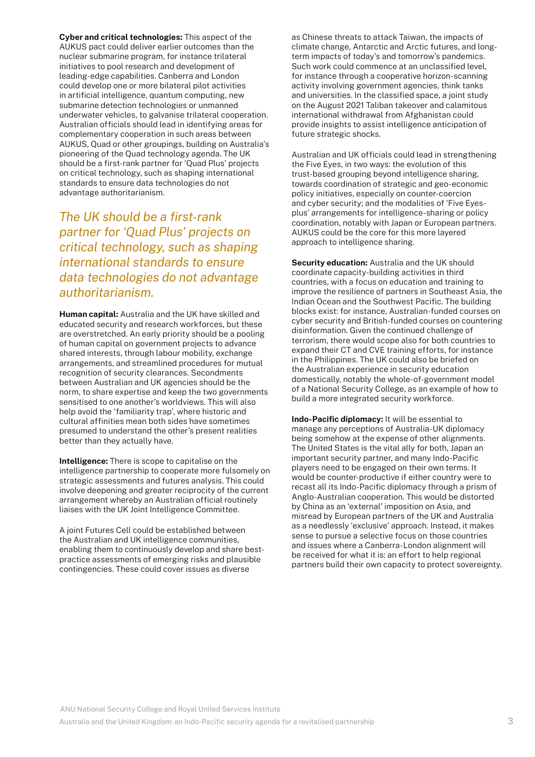**Cyber and critical technologies:** This aspect of the AUKUS pact could deliver earlier outcomes than the nuclear submarine program, for instance trilateral initiatives to pool research and development of leading-edge capabilities. Canberra and London could develop one or more bilateral pilot activities in artificial intelligence, quantum computing, new submarine detection technologies or unmanned underwater vehicles, to galvanise trilateral cooperation. Australian officials should lead in identifying areas for complementary cooperation in such areas between AUKUS, Quad or other groupings, building on Australia's pioneering of the Quad technology agenda. The UK should be a first-rank partner for 'Quad Plus' projects on critical technology, such as shaping international standards to ensure data technologies do not advantage authoritarianism.

*The UK should be a first-rank partner for 'Quad Plus' projects on critical technology, such as shaping international standards to ensure data technologies do not advantage authoritarianism.*

**Human capital:** Australia and the UK have skilled and educated security and research workforces, but these are overstretched. An early priority should be a pooling of human capital on government projects to advance shared interests, through labour mobility, exchange arrangements, and streamlined procedures for mutual recognition of security clearances. Secondments between Australian and UK agencies should be the norm, to share expertise and keep the two governments sensitised to one another's worldviews. This will also help avoid the 'familiarity trap', where historic and cultural affinities mean both sides have sometimes presumed to understand the other's present realities better than they actually have.

**Intelligence:** There is scope to capitalise on the intelligence partnership to cooperate more fulsomely on strategic assessments and futures analysis. This could involve deepening and greater reciprocity of the current arrangement whereby an Australian official routinely liaises with the UK Joint Intelligence Committee.

A joint Futures Cell could be established between the Australian and UK intelligence communities, enabling them to continuously develop and share bestpractice assessments of emerging risks and plausible contingencies. These could cover issues as diverse

as Chinese threats to attack Taiwan, the impacts of climate change, Antarctic and Arctic futures, and longterm impacts of today's and tomorrow's pandemics. Such work could commence at an unclassified level, for instance through a cooperative horizon-scanning activity involving government agencies, think tanks and universities. In the classified space, a joint study on the August 2021 Taliban takeover and calamitous international withdrawal from Afghanistan could provide insights to assist intelligence anticipation of future strategic shocks.

Australian and UK officials could lead in strengthening the Five Eyes, in two ways: the evolution of this trust-based grouping beyond intelligence sharing, towards coordination of strategic and geo-economic policy initiatives, especially on counter-coercion and cyber security; and the modalities of 'Five Eyesplus' arrangements for intelligence-sharing or policy coordination, notably with Japan or European partners. AUKUS could be the core for this more layered approach to intelligence sharing.

**Security education:** Australia and the UK should coordinate capacity-building activities in third countries, with a focus on education and training to improve the resilience of partners in Southeast Asia, the Indian Ocean and the Southwest Pacific. The building blocks exist: for instance, Australian-funded courses on cyber security and British-funded courses on countering disinformation. Given the continued challenge of terrorism, there would scope also for both countries to expand their CT and CVE training efforts, for instance in the Philippines. The UK could also be briefed on the Australian experience in security education domestically, notably the whole-of-government model of a National Security College, as an example of how to build a more integrated security workforce.

**Indo-Pacific diplomacy:** It will be essential to manage any perceptions of Australia-UK diplomacy being somehow at the expense of other alignments. The United States is the vital ally for both, Japan an important security partner, and many Indo-Pacific players need to be engaged on their own terms. It would be counter-productive if either country were to recast all its Indo-Pacific diplomacy through a prism of Anglo-Australian cooperation. This would be distorted by China as an 'external' imposition on Asia, and misread by European partners of the UK and Australia as a needlessly 'exclusive' approach. Instead, it makes sense to pursue a selective focus on those countries and issues where a Canberra-London alignment will be received for what it is: an effort to help regional partners build their own capacity to protect sovereignty.